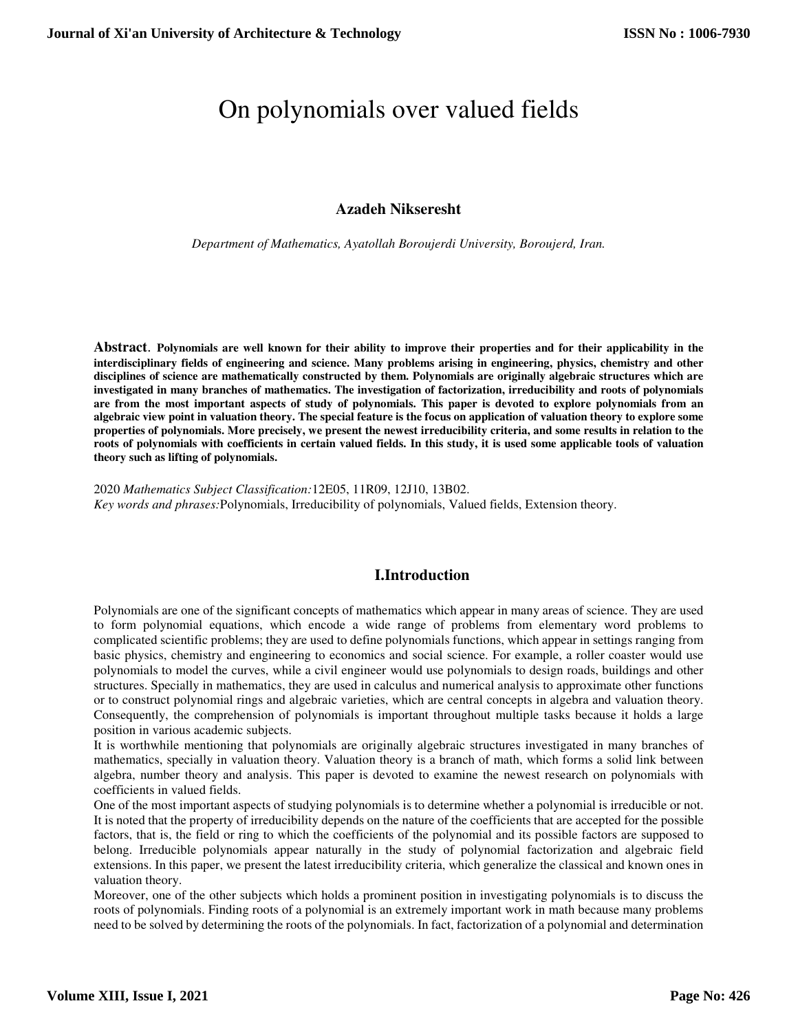# On polynomials over valued fields

## **Azadeh Nikseresht**

*Department of Mathematics, Ayatollah Boroujerdi University, Boroujerd, Iran.*

**Abstract**. **Polynomials are well known for their ability to improve their properties and for their applicability in the interdisciplinary fields of engineering and science. Many problems arising in engineering, physics, chemistry and other disciplines of science are mathematically constructed by them. Polynomials are originally algebraic structures which are investigated in many branches of mathematics. The investigation of factorization, irreducibility and roots of polynomials are from the most important aspects of study of polynomials. This paper is devoted to explore polynomials from an algebraic view point in valuation theory. The special feature is the focus on application of valuation theory to explore some properties of polynomials. More precisely, we present the newest irreducibility criteria, and some results in relation to the roots of polynomials with coefficients in certain valued fields. In this study, it is used some applicable tools of valuation theory such as lifting of polynomials.**

2020 *Mathematics Subject Classification:*12E05, 11R09, 12J10, 13B02. *Key words and phrases:*Polynomials, Irreducibility of polynomials, Valued fields, Extension theory.

# **I.Introduction**

Polynomials are one of the significant concepts of mathematics which appear in many areas of science. They are used to form polynomial equations, which encode a wide range of problems from elementary word problems to complicated scientific problems; they are used to define polynomials functions, which appear in settings ranging from basic physics, chemistry and engineering to economics and social science. For example, a roller coaster would use polynomials to model the curves, while a civil engineer would use polynomials to design roads, buildings and other structures. Specially in mathematics, they are used in calculus and numerical analysis to approximate other functions or to construct polynomial rings and algebraic varieties, which are central concepts in algebra and valuation theory. Consequently, the comprehension of polynomials is important throughout multiple tasks because it holds a large position in various academic subjects.

It is worthwhile mentioning that polynomials are originally algebraic structures investigated in many branches of mathematics, specially in valuation theory. Valuation theory is a branch of math, which forms a solid link between algebra, number theory and analysis. This paper is devoted to examine the newest research on polynomials with coefficients in valued fields.

One of the most important aspects of studying polynomials is to determine whether a polynomial is irreducible or not. It is noted that the property of irreducibility depends on the nature of the coefficients that are accepted for the possible factors, that is, the field or ring to which the coefficients of the polynomial and its possible factors are supposed to belong. Irreducible polynomials appear naturally in the study of polynomial factorization and algebraic field extensions. In this paper, we present the latest irreducibility criteria, which generalize the classical and known ones in valuation theory.

Moreover, one of the other subjects which holds a prominent position in investigating polynomials is to discuss the roots of polynomials. Finding roots of a polynomial is an extremely important work in math because many problems need to be solved by determining the roots of the polynomials. In fact, factorization of a polynomial and determination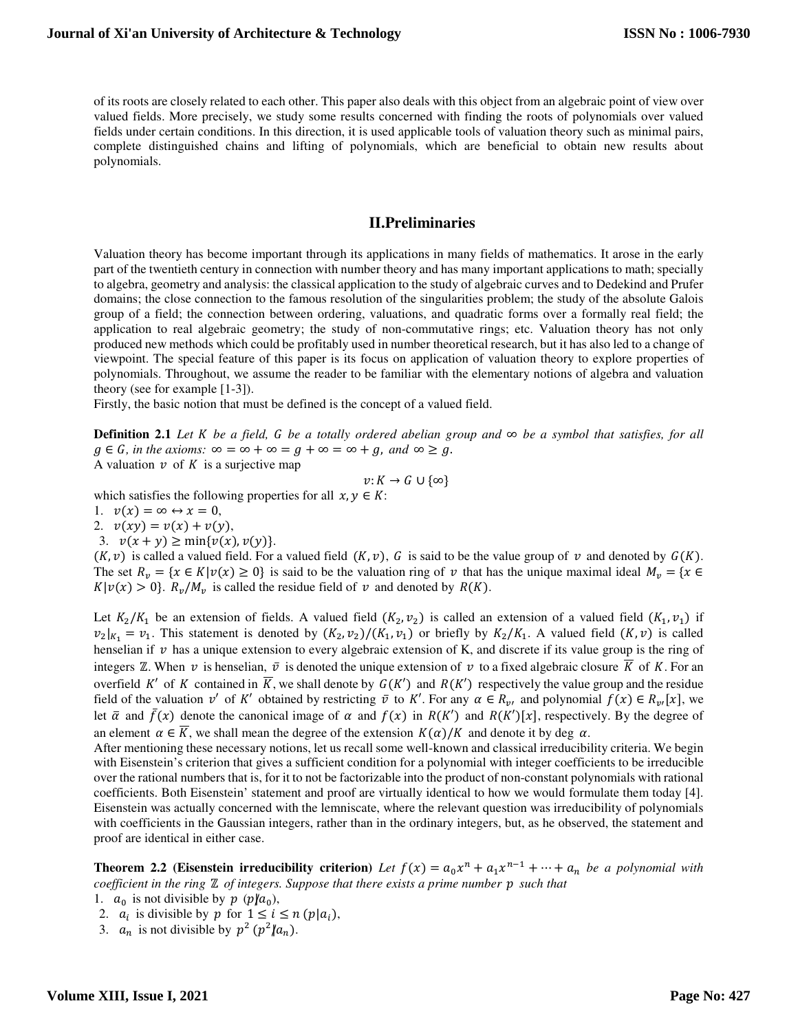of its roots are closely related to each other. This paper also deals with this object from an algebraic point of view over valued fields. More precisely, we study some results concerned with finding the roots of polynomials over valued fields under certain conditions. In this direction, it is used applicable tools of valuation theory such as minimal pairs, complete distinguished chains and lifting of polynomials, which are beneficial to obtain new results about polynomials.

#### **II.Preliminaries**

Valuation theory has become important through its applications in many fields of mathematics. It arose in the early part of the twentieth century in connection with number theory and has many important applications to math; specially to algebra, geometry and analysis: the classical application to the study of algebraic curves and to Dedekind and Prufer domains; the close connection to the famous resolution of the singularities problem; the study of the absolute Galois group of a field; the connection between ordering, valuations, and quadratic forms over a formally real field; the application to real algebraic geometry; the study of non-commutative rings; etc. Valuation theory has not only produced new methods which could be profitably used in number theoretical research, but it has also led to a change of viewpoint. The special feature of this paper is its focus on application of valuation theory to explore properties of polynomials. Throughout, we assume the reader to be familiar with the elementary notions of algebra and valuation theory (see for example [1-3]).

Firstly, the basic notion that must be defined is the concept of a valued field.

**Definition 2.1** *Let K be a field, G be a totally ordered abelian group and* ∞ *be a symbol that satisfies, for all*  $g \in G$ , in the axioms:  $\infty = \infty + \infty = g + \infty = \infty + g$ , and  $\infty \ge g$ . A valuation  $v$  of K is a surjective map

$$
\nu\colon K\to G\cup\{\infty\}
$$

which satisfies the following properties for all  $x, y \in K$ :

- 1.  $v(x) = \infty \leftrightarrow x = 0$ ,
- 2.  $v(xy) = v(x) + v(y),$
- 3.  $v(x + y) \ge \min\{v(x), v(y)\}.$

 $(K, v)$  is called a valued field. For a valued field  $(K, v)$ , G is said to be the value group of v and denoted by  $G(K)$ . The set  $R_v = \{x \in K | v(x) \ge 0\}$  is said to be the valuation ring of v that has the unique maximal ideal  $M_v = \{x \in K | v(x) \ge 0\}$  $K|v(x) > 0$ .  $R_v/M_v$  is called the residue field of v and denoted by  $R(K)$ .

Let  $K_2/K_1$  be an extension of fields. A valued field  $(K_2, v_2)$  is called an extension of a valued field  $(K_1, v_1)$  if  $v_2|_{K_1} = v_1$ . This statement is denoted by  $(K_2, v_2)/(K_1, v_1)$  or briefly by  $K_2/K_1$ . A valued field  $(K, v)$  is called henselian if  $\nu$  has a unique extension to every algebraic extension of K, and discrete if its value group is the ring of integers  $\mathbb Z$ . When  $v$  is henselian,  $\bar{v}$  is denoted the unique extension of  $v$  to a fixed algebraic closure  $\bar{K}$  of K. For an overfield K' of K contained in K, we shall denote by  $G(K')$  and  $R(K')$  respectively the value group and the residue field of the valuation  $v'$  of K' obtained by restricting  $\bar{v}$  to K'. For any  $\alpha \in R_{v'}$  and polynomial  $f(x) \in R_{v'}[x]$ , we let  $\bar{\alpha}$  and  $\bar{f}(x)$  denote the canonical image of  $\alpha$  and  $f(x)$  in  $R(K')$  and  $R(K')[x]$ , respectively. By the degree of an element  $\alpha \in \overline{K}$ , we shall mean the degree of the extension  $K(\alpha)/K$  and denote it by deg  $\alpha$ .

After mentioning these necessary notions, let us recall some well-known and classical irreducibility criteria. We begin with Eisenstein's criterion that gives a sufficient condition for a polynomial with integer coefficients to be irreducible over the rational numbers that is, for it to not be factorizable into the product of non-constant polynomials with rational coefficients. Both Eisenstein' statement and proof are virtually identical to how we would formulate them today [4]. Eisenstein was actually concerned with the lemniscate, where the relevant question was irreducibility of polynomials with coefficients in the Gaussian integers, rather than in the ordinary integers, but, as he observed, the statement and proof are identical in either case.

**Theorem 2.2 (Eisenstein irreducibility criterion)** Let  $f(x) = a_0 x^n + a_1 x^{n-1} + \cdots + a_n$  be a polynomial with *coefficient in the ring* ℤ *of integers. Suppose that there exists a prime number* 2 *such that*

- 1.  $a_0$  is not divisible by  $p \ (\textit{p}/a_0)$ ,
- 2.  $a_i$  is divisible by p for  $1 \le i \le n (p|a_i)$ ,
- 3.  $a_n$  is not divisible by  $p^2 (p^2 / a_n)$ .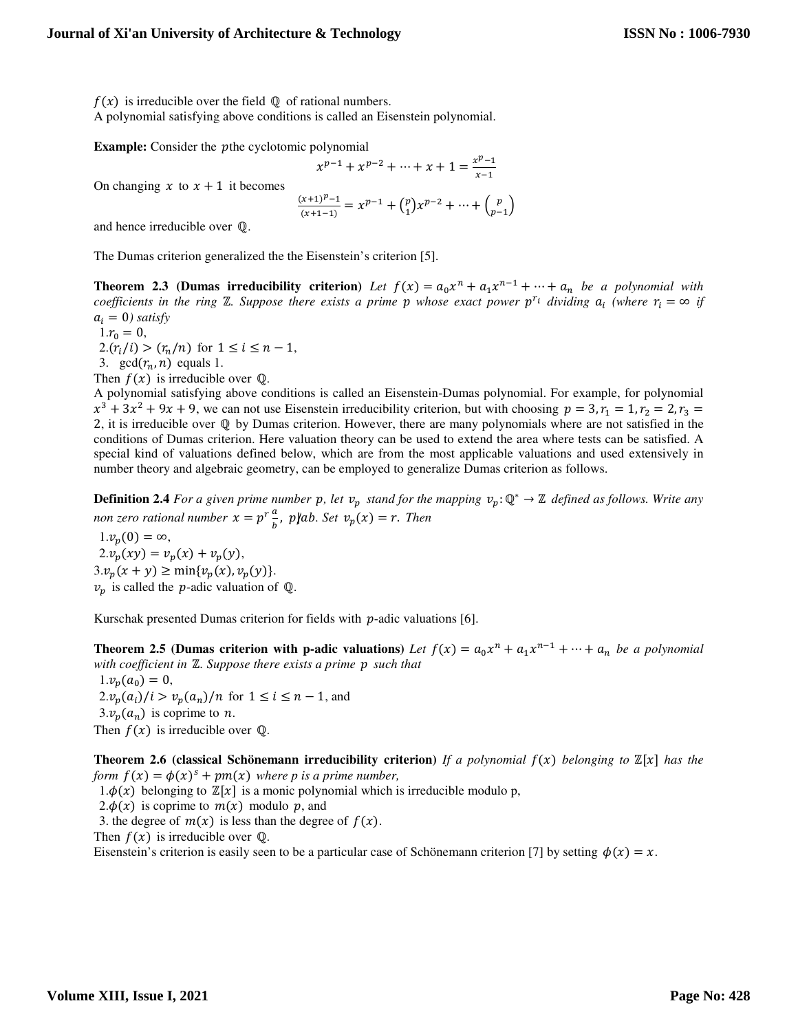$f(x)$  is irreducible over the field  $\mathbb Q$  of rational numbers.

A polynomial satisfying above conditions is called an Eisenstein polynomial.

**Example:** Consider the *p*the cyclotomic polynomial

$$
x^{p-1} + x^{p-2} + \dots + x + 1 = \frac{x^{p-1}}{x-1}
$$

On changing  $x$  to  $x + 1$  it becomes

$$
\frac{(x+1)^p-1}{(x+1-1)}=x^{p-1}+{p\choose 1}x^{p-2}+\cdots+{p\choose p-1}
$$

and hence irreducible over ℚ.

The Dumas criterion generalized the the Eisenstein's criterion [5].

**Theorem 2.3 (Dumas irreducibility criterion)** Let  $f(x) = a_0 x^n + a_1 x^{n-1} + \cdots + a_n$  be a polynomial with  $coefficients$  in the ring  $\mathbb{Z}$ . Suppose there exists a prime  $p$  whose exact power  $p^{r_i}$  dividing  $a_i$  (where  $r_i = \infty$  if  $a_i = 0$ *) satisfy* 

 $1.r_0 = 0$ ,  $2(r_i/i) > (r_n/n)$  for  $1 \le i \le n-1$ , 3. gcd $(r_n, n)$  equals 1.

Then  $f(x)$  is irreducible over Q.

A polynomial satisfying above conditions is called an Eisenstein-Dumas polynomial. For example, for polynomial  $x^3 + 3x^2 + 9x + 9$ , we can not use Eisenstein irreducibility criterion, but with choosing  $p = 3$ ,  $r_1 = 1$ ,  $r_2 = 2$ ,  $r_3 = 1$ 2, it is irreducible over ℚ by Dumas criterion. However, there are many polynomials where are not satisfied in the conditions of Dumas criterion. Here valuation theory can be used to extend the area where tests can be satisfied. A special kind of valuations defined below, which are from the most applicable valuations and used extensively in number theory and algebraic geometry, can be employed to generalize Dumas criterion as follows.

**Definition 2.4** *For a given prime number p, let*  $v_p$  *stand for the mapping*  $v_p: \mathbb{Q}^* \to \mathbb{Z}$  *defined as follows. Write any* non zero rational number  $x = p^r \frac{a}{b}$ ,  $p \mid ab$ . Set  $v_p(x) = r$ . Then

 $1.v_n(0) = \infty$ ,  $2.v_n(xy) = v_n(x) + v_n(y),$  $3.v_p(x + y) \ge \min\{v_p(x), v_p(y)\}.$  $v_p$  is called the *p*-adic valuation of  $\mathbb{Q}$ .

Kurschak presented Dumas criterion for fields with  $p$ -adic valuations [6].

**Theorem 2.5 (Dumas criterion with p-adic valuations)** Let  $f(x) = a_0 x^n + a_1 x^{n-1} + \cdots + a_n$  be a polynomial *with coefficient in* ℤ*. Suppose there exists a prime* 2 *such that*  $1.v_p(a_0) = 0,$  $2.v_p(a_i)/i > v_p(a_n)/n$  for  $1 \le i \le n-1$ , and  $3.v_n(a_n)$  is coprime to *n*.

Then  $f(x)$  is irreducible over Q.

**Theorem 2.6 (classical Schönemann irreducibility criterion)** If a polynomial  $f(x)$  belonging to  $\mathbb{Z}[x]$  has the *form*  $f(x) = \phi(x)^s + pm(x)$  *where p is a prime number,* 

 $1.\phi(x)$  belonging to  $\mathbb{Z}[x]$  is a monic polynomial which is irreducible modulo p,

2. $\phi(x)$  is coprime to  $m(x)$  modulo p, and

3. the degree of  $m(x)$  is less than the degree of  $f(x)$ .

Then  $f(x)$  is irreducible over  $\mathbb{Q}$ .

Eisenstein's criterion is easily seen to be a particular case of Schönemann criterion [7] by setting  $\phi(x) = x$ .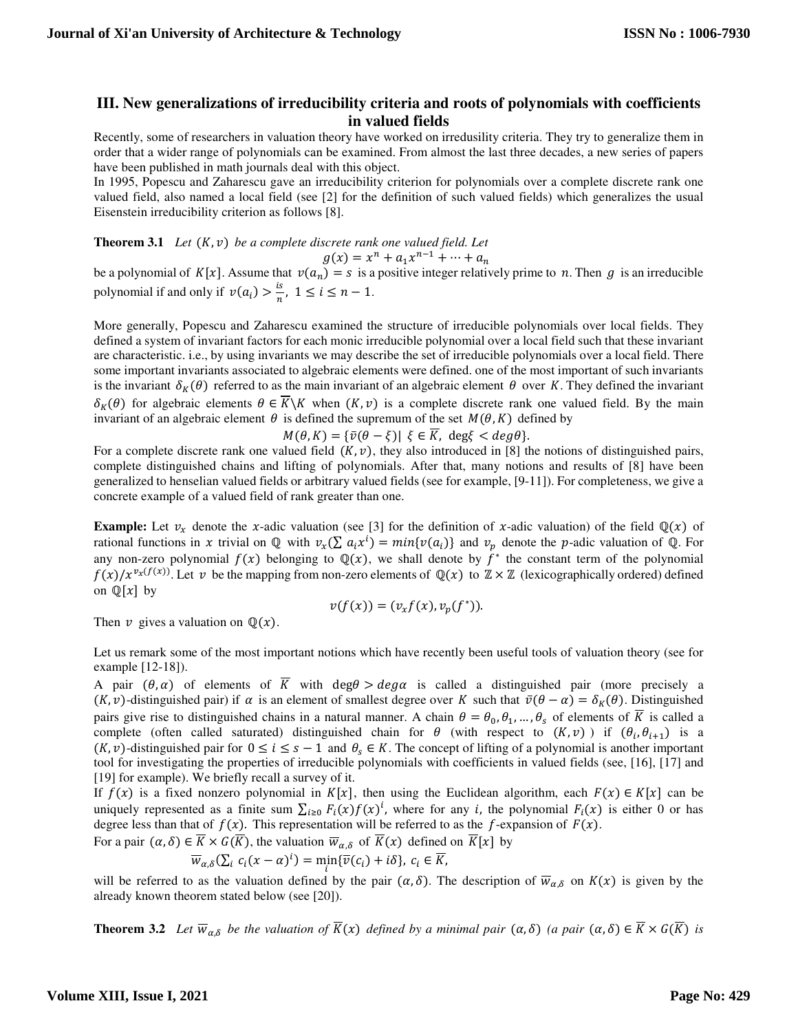## **III. New generalizations of irreducibility criteria and roots of polynomials with coefficients in valued fields**

Recently, some of researchers in valuation theory have worked on irredusility criteria. They try to generalize them in order that a wider range of polynomials can be examined. From almost the last three decades, a new series of papers have been published in math journals deal with this object.

In 1995, Popescu and Zaharescu gave an irreducibility criterion for polynomials over a complete discrete rank one valued field, also named a local field (see [2] for the definition of such valued fields) which generalizes the usual Eisenstein irreducibility criterion as follows [8].

**Theorem 3.1** *Let*  $(K, v)$  *be a complete discrete rank one valued field. Let* 

$$
g(x) = x^n + a_1 x^{n-1} + \dots + a_n
$$

be a polynomial of  $K[x]$ . Assume that  $v(a_n) = s$  is a positive integer relatively prime to n. Then g is an irreducible polynomial if and only if  $v(a_i) > \frac{1}{n}$  $\frac{1}{n}$ ,  $1 \le i \le n-1$ .

More generally, Popescu and Zaharescu examined the structure of irreducible polynomials over local fields. They defined a system of invariant factors for each monic irreducible polynomial over a local field such that these invariant are characteristic. i.e., by using invariants we may describe the set of irreducible polynomials over a local field. There some important invariants associated to algebraic elements were defined. one of the most important of such invariants is the invariant  $\delta_K(\theta)$  referred to as the main invariant of an algebraic element  $\theta$  over K. They defined the invariant  $\delta_K(\theta)$  for algebraic elements  $\theta \in \overline{K} \backslash K$  when  $(K, v)$  is a complete discrete rank one valued field. By the main invariant of an algebraic element  $\theta$  is defined the supremum of the set  $M(\theta, K)$  defined by

 $M(\theta, K) = {\bar{v}(\theta - \xi)} \xi \in \overline{K}$ , deg $\xi < deg\theta$ .

For a complete discrete rank one valued field  $(K, v)$ , they also introduced in [8] the notions of distinguished pairs, complete distinguished chains and lifting of polynomials. After that, many notions and results of [8] have been generalized to henselian valued fields or arbitrary valued fields (see for example, [9-11]). For completeness, we give a concrete example of a valued field of rank greater than one.

**Example:** Let  $v_x$  denote the x-adic valuation (see [3] for the definition of x-adic valuation) of the field  $\mathbb{Q}(x)$  of rational functions in x trivial on  $\mathbb Q$  with  $v_x(\sum a_i x^i) = min\{v(a_i)\}\$  and  $v_p$  denote the p-adic valuation of  $\mathbb Q$ . For any non-zero polynomial  $f(x)$  belonging to  $\mathbb{Q}(x)$ , we shall denote by  $f^*$  the constant term of the polynomial  $f(x)/x^{v_x(f(x))}$ . Let  $v$  be the mapping from non-zero elements of  $\mathbb{Q}(x)$  to  $\mathbb{Z} \times \mathbb{Z}$  (lexicographically ordered) defined on  $\mathbb{Q}[x]$  by

$$
v(f(x))=(v_xf(x),v_p(f^*)).
$$

Then  $\nu$  gives a valuation on  $\mathbb{Q}(x)$ .

Let us remark some of the most important notions which have recently been useful tools of valuation theory (see for example [12-18]).

A pair  $(\theta, \alpha)$  of elements of  $\overline{K}$  with deg $\theta > deg\alpha$  is called a distinguished pair (more precisely a  $(K, v)$ -distinguished pair) if  $\alpha$  is an element of smallest degree over K such that  $\bar{v}(\theta - \alpha) = \delta_K(\theta)$ . Distinguished pairs give rise to distinguished chains in a natural manner. A chain  $\theta = \theta_0, \theta_1, ..., \theta_s$  of elements of K is called a complete (often called saturated) distinguished chain for  $\theta$  (with respect to  $(K, v)$ ) if  $(\theta_i, \theta_{i+1})$  is a  $(K, v)$ -distinguished pair for  $0 \le i \le s - 1$  and  $\theta_s \in K$ . The concept of lifting of a polynomial is another important tool for investigating the properties of irreducible polynomials with coefficients in valued fields (see, [16], [17] and [19] for example). We briefly recall a survey of it.

If  $f(x)$  is a fixed nonzero polynomial in  $K[x]$ , then using the Euclidean algorithm, each  $F(x) \in K[x]$  can be uniquely represented as a finite sum  $\sum_{i\geq 0} F_i(x)f(x)^i$ , where for any *i*, the polynomial  $F_i(x)$  is either 0 or has degree less than that of  $f(x)$ . This representation will be referred to as the f-expansion of  $F(x)$ .

For a pair  $(\alpha, \delta) \in K \times G(K)$ , the valuation  $\overline{w}_{\alpha, \delta}$  of  $K(x)$  defined on  $K[x]$  by

$$
\overline{w}_{\alpha,\delta}(\sum_i c_i(x-\alpha)^i) = \min_i \{\overline{v}(c_i) + i\delta\}, c_i \in \overline{K},
$$

will be referred to as the valuation defined by the pair  $(\alpha, \delta)$ . The description of  $\overline{w}_{\alpha,\delta}$  on  $K(x)$  is given by the already known theorem stated below (see [20]).

**Theorem 3.2** *Let*  $\overline{w}_{\alpha,\delta}$  *be the valuation of*  $K(x)$  *defined by a minimal pair*  $(\alpha,\delta)$  (*a pair*  $(\alpha,\delta) \in K \times G(K)$  *is*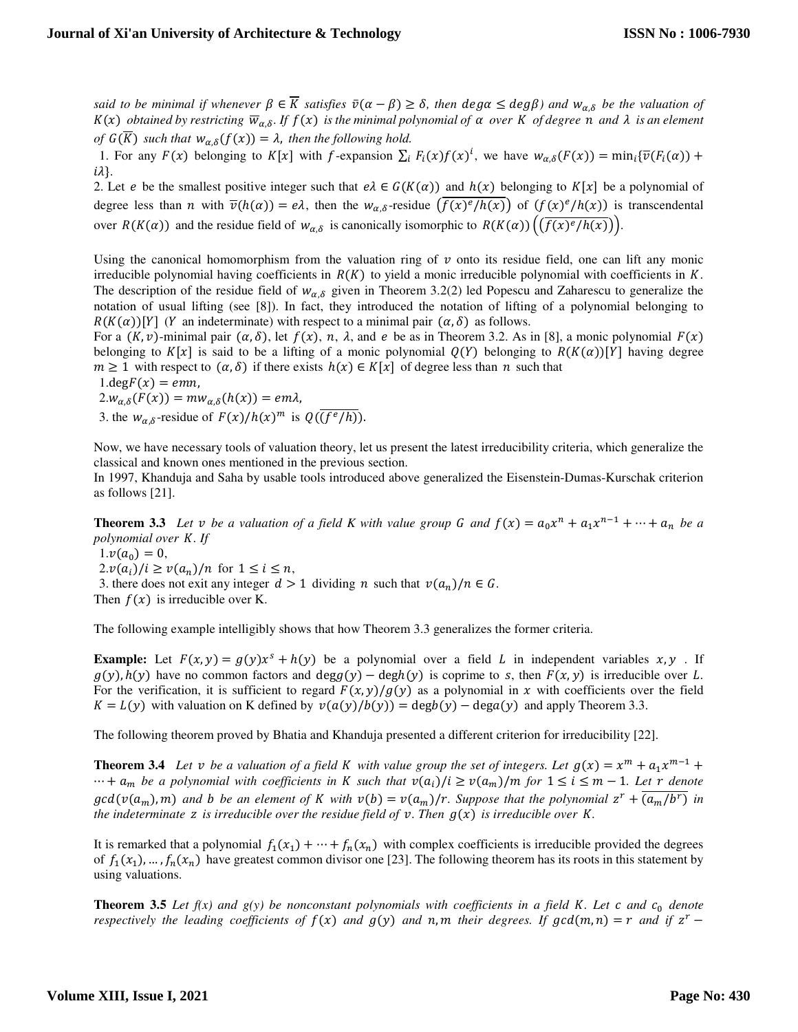*said to be minimal if whenever*  $\beta \in \overline{K}$  *satisfies*  $\bar{v}(\alpha - \beta) \ge \delta$ *, then*  $\deg \alpha \le \deg \beta$  *and*  $w_{\alpha,\delta}$  *be the valuation of*  $K(x)$  *obtained by restricting*  $\overline{w}_{\alpha,\delta}$ *. If*  $f(x)$  *is the minimal polynomial of*  $\alpha$  *over*  $K$  *of degree*  $n$  *and*  $\lambda$  *is an element of*  $G(K)$  such that  $w_{\alpha,\delta}(f(x)) = \lambda$ , then the following hold.

1. For any  $F(x)$  belonging to  $K[x]$  with f-expansion  $\sum_i F_i(x) f(x)^i$ , we have  $w_{\alpha,\delta}(F(x)) = \min_i {\overline{v}(F_i(\alpha))} +$  $i\lambda$ .

2. Let *e* be the smallest positive integer such that  $e\lambda \in G(K(\alpha))$  and  $h(x)$  belonging to  $K[x]$  be a polynomial of degree less than *n* with  $\overline{\nu}(h(\alpha)) = e\lambda$ , then the  $w_{\alpha,\delta}$ -residue  $(f(x)^e/h(x))$  of  $(f(x)^e/h(x))$  is transcendental over  $R(K(\alpha))$  and the residue field of  $w_{\alpha,\delta}$  is canonically isomorphic to  $R(K(\alpha))\left(\frac{f(x)^e}{h(x)}\right)$ .

Using the canonical homomorphism from the valuation ring of  $\nu$  onto its residue field, one can lift any monic irreducible polynomial having coefficients in  $R(K)$  to yield a monic irreducible polynomial with coefficients in  $K$ . The description of the residue field of  $w_{\alpha,\delta}$  given in Theorem 3.2(2) led Popescu and Zaharescu to generalize the notation of usual lifting (see [8]). In fact, they introduced the notation of lifting of a polynomial belonging to  $R(K(\alpha))[Y]$  (Y an indeterminate) with respect to a minimal pair  $(\alpha, \delta)$  as follows.

For a  $(K, v)$ -minimal pair  $(\alpha, \delta)$ , let  $f(x)$ , n,  $\lambda$ , and  $e$  be as in Theorem 3.2. As in [8], a monic polynomial  $F(x)$ belonging to  $K[x]$  is said to be a lifting of a monic polynomial  $Q(Y)$  belonging to  $R(K(\alpha))[Y]$  having degree  $m \ge 1$  with respect to  $(\alpha, \delta)$  if there exists  $h(x) \in K[x]$  of degree less than n such that

 $1.\text{deg}F(x) = emn,$ 

$$
2.w_{\alpha,\delta}(F(x)) = mw_{\alpha,\delta}(h(x)) = em\lambda,
$$

3. the  $w_{\alpha\delta}$ -residue of  $F(x)/h(x)^m$  is  $Q(\overline{(f^e/h)})$ .

Now, we have necessary tools of valuation theory, let us present the latest irreducibility criteria, which generalize the classical and known ones mentioned in the previous section.

In 1997, Khanduja and Saha by usable tools introduced above generalized the Eisenstein-Dumas-Kurschak criterion as follows [21].

**Theorem 3.3** Let *v* be a valuation of a field K with value group G and  $f(x) = a_0x^n + a_1x^{n-1} + \cdots + a_n$  be a *polynomial over . If* 

 $1.v(a_0) = 0,$ 

 $2.v(a_i)/i \geq v(a_n)/n$  for  $1 \leq i \leq n$ ,

3. there does not exit any integer  $d > 1$  dividing *n* such that  $v(a_n)/n \in G$ .

Then  $f(x)$  is irreducible over K.

The following example intelligibly shows that how Theorem 3.3 generalizes the former criteria.

**Example:** Let  $F(x, y) = g(y)x^s + h(y)$  be a polynomial over a field L in independent variables  $x, y$ . If  $g(y)$ ,  $h(y)$  have no common factors and deg $g(y)$  – deg $h(y)$  is coprime to s, then  $F(x, y)$  is irreducible over L. For the verification, it is sufficient to regard  $F(x, y)/g(y)$  as a polynomial in x with coefficients over the field  $K = L(y)$  with valuation on K defined by  $v(a(y)/b(y)) = \deg(b(y) - \deg(a(y))$  and apply Theorem 3.3.

The following theorem proved by Bhatia and Khanduja presented a different criterion for irreducibility [22].

**Theorem 3.4** Let *v* be a valuation of a field K with value group the set of integers. Let  $g(x) = x^m + a_1 x^{m-1} +$  $\cdots$  +  $a_m$  be a polynomial with coefficients in *K* such that  $v(a_i)/i \ge v(a_m)/m$  for  $1 \le i \le m-1$ *. Let*  $r$  denote  $gcd(v(a_m), m)$  and *b* be an element of *K* with  $v(b) = v(a_m)/r$ . Suppose that the polynomial  $z^r + (a_m/b^r)$  in *the indeterminate z is irreducible over the residue field of*  $\nu$ *. Then*  $g(x)$  *is irreducible over K.* 

It is remarked that a polynomial  $f_1(x_1) + \cdots + f_n(x_n)$  with complex coefficients is irreducible provided the degrees of  $f_1(x_1),..., f_n(x_n)$  have greatest common divisor one [23]. The following theorem has its roots in this statement by using valuations.

**Theorem 3.5** *Let*  $f(x)$  and  $g(y)$  be nonconstant polynomials with coefficients in a field K. Let  $c$  and  $c_0$  denote *respectively the leading coefficients of*  $f(x)$  *and*  $g(y)$  *and*  $n, m$  *their degrees. If*  $gcd(m, n) = r$  *and if*  $z<sup>r</sup>$  –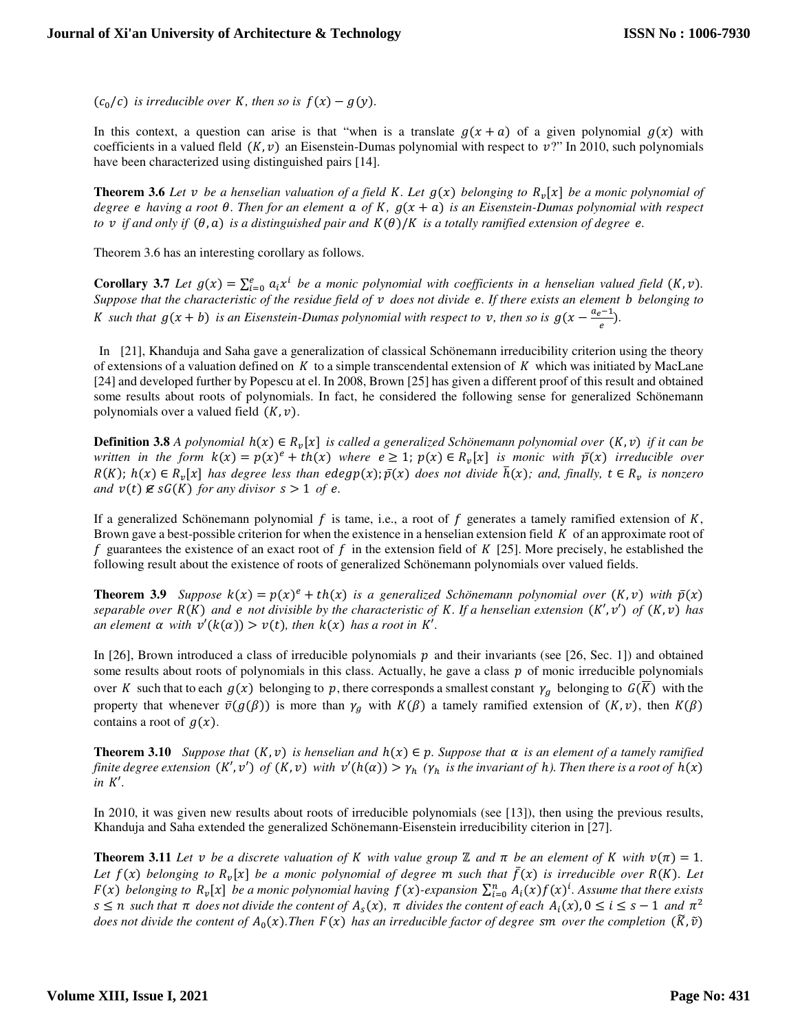$(c_0/c)$  *is irreducible over K, then so is*  $f(x) - g(y)$ *.* 

In this context, a question can arise is that "when is a translate  $g(x + a)$  of a given polynomial  $g(x)$  with coefficients in a valued fleld  $(K, v)$  an Eisenstein-Dumas polynomial with respect to  $v$ ?" In 2010, such polynomials have been characterized using distinguished pairs [14].

**Theorem 3.6** *Let v be a henselian valuation of a field K. Let*  $g(x)$  *belonging to*  $R_v[x]$  *be a monic polynomial of degree e having a root*  $\theta$ *. Then for an element*  $\alpha$  *of K,*  $g(x + a)$  *is an Eisenstein-Dumas polynomial with respect to v* if and only if  $(\theta, a)$  is a distinguished pair and  $K(\theta)/K$  is a totally ramified extension of degree **e**.

Theorem 3.6 has an interesting corollary as follows.

**Corollary 3.7** *Let*  $g(x) = \sum_{i=0}^{e} a_i x^i$  *be a monic polynomial with coefficients in a henselian valued field*  $(K, v)$ *. Suppose that the characteristic of the residue field of*  $v$  *does not divide e. If there exists an element b belonging to K* such that  $g(x + b)$  is an Eisenstein-Dumas polynomial with respect to  $v$ , then so is  $g(x - \frac{a_e - 1}{e})$ .

 In [21], Khanduja and Saha gave a generalization of classical Schönemann irreducibility criterion using the theory of extensions of a valuation defined on  $K$  to a simple transcendental extension of  $K$  which was initiated by MacLane [24] and developed further by Popescu at el. In 2008, Brown [25] has given a different proof of this result and obtained some results about roots of polynomials. In fact, he considered the following sense for generalized Schönemann polynomials over a valued field  $(K, v)$ .

**Definition 3.8** *A polynomial*  $h(x) \in R_v[x]$  is called a generalized Schönemann polynomial over  $(K, v)$  if it can be *written in the form*  $k(x) = p(x)^e + th(x)$  *where*  $e \geq 1$ *;*  $p(x) \in R_v[x]$  *is monic with*  $\bar{p}(x)$  *irreducible over*  $R(K)$ ;  $h(x) \in R_v[x]$  has degree less than edegp $(x)$ ;  $\bar{p}(x)$  does not divide  $\bar{h}(x)$ ; and, finally,  $t \in R_v$  is nonzero *and*  $v(t) \notin sG(K)$  *for any divisor*  $s > 1$  *of e.* 

If a generalized Schönemann polynomial f is tame, i.e., a root of f generates a tamely ramified extension of K, Brown gave a best-possible criterion for when the existence in a henselian extension field  $K$  of an approximate root of f guarantees the existence of an exact root of f in the extension field of  $K$  [25]. More precisely, he established the following result about the existence of roots of generalized Schönemann polynomials over valued fields.

**Theorem 3.9** *Suppose*  $k(x) = p(x)^e + th(x)$  *is a generalized Schönemann polynomial over*  $(K, v)$  *with*  $\bar{p}(x)$ *separable over*  $R(K)$  and  $e$  not divisible by the characteristic of K. If a henselian extension  $(K', v')$  of  $(K, v)$  has *an element*  $\alpha$  *with*  $v'(k(\alpha)) > v(t)$ *, then*  $k(x)$  *has a root in*  $K'$ *.* 

In [26], Brown introduced a class of irreducible polynomials  $p$  and their invariants (see [26, Sec. 1]) and obtained some results about roots of polynomials in this class. Actually, he gave a class  $p$  of monic irreducible polynomials over K such that to each  $g(x)$  belonging to p, there corresponds a smallest constant  $\gamma_g$  belonging to  $G(K)$  with the property that whenever  $\bar{v}(g(\beta))$  is more than  $\gamma_g$  with  $K(\beta)$  a tamely ramified extension of  $(K, v)$ , then  $K(\beta)$ contains a root of  $g(x)$ .

**Theorem 3.10** *Suppose that*  $(K, v)$  *is henselian and*  $h(x) \in p$ *. Suppose that*  $\alpha$  *is an element of a tamely ramified finite degree extension*  $(K', v')$  *of*  $(K, v)$  *with*  $v'(h(\alpha)) > \gamma_h$  ( $\gamma_h$  *is the invariant of h*). Then there is a root of  $h(x)$  $in$   $K'$ .

In 2010, it was given new results about roots of irreducible polynomials (see [13]), then using the previous results, Khanduja and Saha extended the generalized Schönemann-Eisenstein irreducibility citerion in [27].

**Theorem 3.11** Let v be a discrete valuation of K with value group  $\mathbb{Z}$  and  $\pi$  be an element of K with  $v(\pi) = 1$ . Let  $f(x)$  belonging to  $R_v[x]$  be a monic polynomial of degree  $m$  such that  $\bar{f}(x)$  is irreducible over  $R(K)$ . Let  $F(x)$  belonging to  $R_v[x]$  be a monic polynomial having  $f(x)$ -expansion  $\sum_{i=0}^n A_i(x)f(x)^i$ . Assume that there exists  $s \le n$  such that  $\pi$  does not divide the content of  $A_s(x)$ ,  $\pi$  divides the content of each  $A_i(x)$ ,  $0 \le i \le s - 1$  and  $\pi^2$ *does not divide the content of*  $A_0(x)$ . Then  $F(x)$  has an irreducible factor of degree sm over the completion  $(\tilde{K}, \tilde{v})$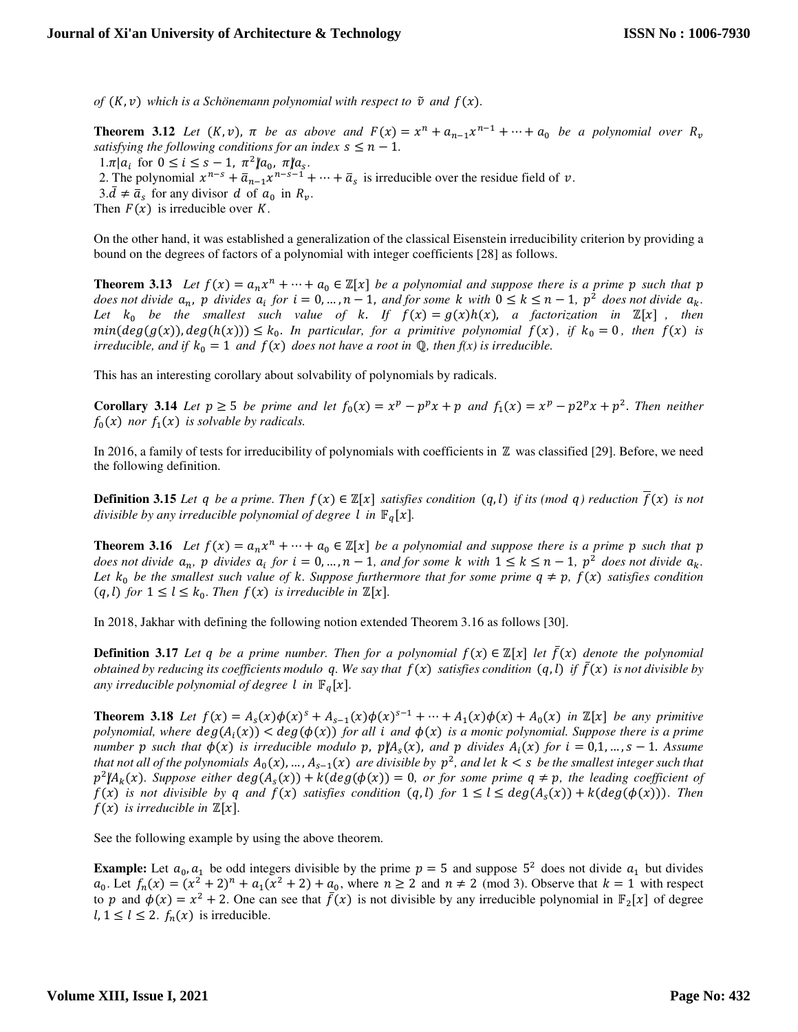*of*  $(K, v)$  which is a Schönemann polynomial with respect to  $\tilde{v}$  and  $f(x)$ .

**Theorem 3.12** Let  $(K, v)$ ,  $\pi$  be as above and  $F(x) = x^n + a_{n-1}x^{n-1} + \cdots + a_0$  be a polynomial over  $R_v$ *satisfying the following conditions for an index*  $s \leq n - 1$ *.*  $1.\pi | a_i \text{ for } 0 \leq i \leq s-1, \pi^2 | a_0, \pi | a_s.$ 

2. The polynomial  $x^{n-s} + \overline{a}_{n-1}x^{n-s-1} + \cdots + \overline{a}_s$  is irreducible over the residue field of  $v$ .

 $3.\bar{d} \neq \bar{a}_s$  for any divisor  $d$  of  $a_0$  in  $R_v$ .

Then  $F(x)$  is irreducible over  $K$ .

On the other hand, it was established a generalization of the classical Eisenstein irreducibility criterion by providing a bound on the degrees of factors of a polynomial with integer coefficients [28] as follows.

**Theorem 3.13** *Let*  $f(x) = a_n x^n + \dots + a_0 \in \mathbb{Z}[x]$  *be a polynomial and suppose there is a prime p such that p does not divide*  $a_n$ ,  $p$  *divides*  $a_i$  *for*  $i = 0, ..., n - 1$ , and *for some*  $k$  *with*  $0 \leq k \leq n - 1$ ,  $p^2$  *does not divide*  $a_k$ . *Let*  $k_0$  be the smallest such value of  $k$ . If  $f(x) = g(x)h(x)$ , a factorization in  $\mathbb{Z}[x]$ , then  $min(deg(g(x)), deg(h(x))) \leq k_0$ . In particular, for a primitive polynomial  $f(x)$ , if  $k_0 = 0$ , then  $f(x)$  is *irreducible, and if*  $k_0 = 1$  *and*  $f(x)$  *does not have a root in*  $\mathbb{Q}$ *, then*  $f(x)$  *is irreducible.* 

This has an interesting corollary about solvability of polynomials by radicals.

**Corollary 3.14** *Let*  $p \ge 5$  *be prime and let*  $f_0(x) = x^p - p^p x + p$  *and*  $f_1(x) = x^p - p^{2p} x + p^2$ . *Then neither*  $f_0(x)$  nor  $f_1(x)$  is solvable by radicals.

In 2016, a family of tests for irreducibility of polynomials with coefficients in ℤ was classified [29]. Before, we need the following definition.

**Definition 3.15** *Let q be a prime. Then*  $f(x) \in \mathbb{Z}[x]$  *satisfies condition*  $(q, l)$  *if its (mod q) reduction*  $f(x)$  *is not divisible by any irreducible polynomial of degree l in*  $\mathbb{F}_q[x]$ *.* 

**Theorem 3.16** *Let*  $f(x) = a_n x^n + \dots + a_0 \in \mathbb{Z}[x]$  *be a polynomial and suppose there is a prime p such that p* does not divide  $a_n$ ,  $p$  divides  $a_i$  for  $i = 0, ..., n - 1$ , and for some  $k$  with  $1 \leq k \leq n - 1$ ,  $p^2$  does not divide  $a_k$ . Let  $k_0$  be the smallest such value of  $k$ . Suppose furthermore that for some prime  $q \neq p$ ,  $f(x)$  satisfies condition  $(q, l)$  for  $1 \leq l \leq k_0$ . Then  $f(x)$  is irreducible in  $\mathbb{Z}[x]$ .

In 2018, Jakhar with defining the following notion extended Theorem 3.16 as follows [30].

**Definition 3.17** Let q be a prime number. Then for a polynomial  $f(x) \in \mathbb{Z}[x]$  let  $\bar{f}(x)$  denote the polynomial *obtained by reducing its coefficients modulo q. We say that*  $f(x)$  *satisfies condition*  $(q, l)$  *if*  $\bar{f}(x)$  *is not divisible by any irreducible polynomial of degree l in*  $\mathbb{F}_q[x]$ .

**Theorem 3.18** Let  $f(x) = A_s(x)\phi(x)^s + A_{s-1}(x)\phi(x)^{s-1} + \cdots + A_1(x)\phi(x) + A_0(x)$  in  $\mathbb{Z}[x]$  be any primitive *polynomial, where*  $deg(A_i(x)) < deg(\phi(x))$  *for all i and*  $\phi(x)$  *is a monic polynomial. Suppose there is a prime number p such that*  $\phi(x)$  *is irreducible modulo p, p* $\mathcal{A}_s(x)$ *, and p divides*  $A_i(x)$  *for*  $i = 0,1,..., s - 1$ *. Assume that not all of the polynomials*  $A_0(x),..., A_{s-1}(x)$  are divisible by  $p^2$ , and let  $k < s$  be the smallest integer such that  $p^2 |A_k(x)$ . Suppose either  $deg(A_s(x)) + k(deg(\phi(x)) = 0$ , or for some prime  $q \neq p$ , the leading coefficient of  $f(x)$  is not divisible by *q* and  $f(x)$  satisfies condition  $(q, l)$  for  $1 \le l \le deg(A_s(x)) + k(deg(\phi(x)))$ . Then  $f(x)$  *is irreducible in*  $\mathbb{Z}[x]$ *.* 

See the following example by using the above theorem.

**Example:** Let  $a_0$ ,  $a_1$  be odd integers divisible by the prime  $p = 5$  and suppose  $5^2$  does not divide  $a_1$  but divides  $a_0$ . Let  $f_n(x) = (x^2 + 2)^n + a_1(x^2 + 2) + a_0$ , where  $n \ge 2$  and  $n \ne 2$  (mod 3). Observe that  $k = 1$  with respect to p and  $\phi(x) = x^2 + 2$ . One can see that  $\bar{f}(x)$  is not divisible by any irreducible polynomial in  $\mathbb{F}_2[x]$  of degree  $l, 1 \leq l \leq 2$ .  $f_n(x)$  is irreducible.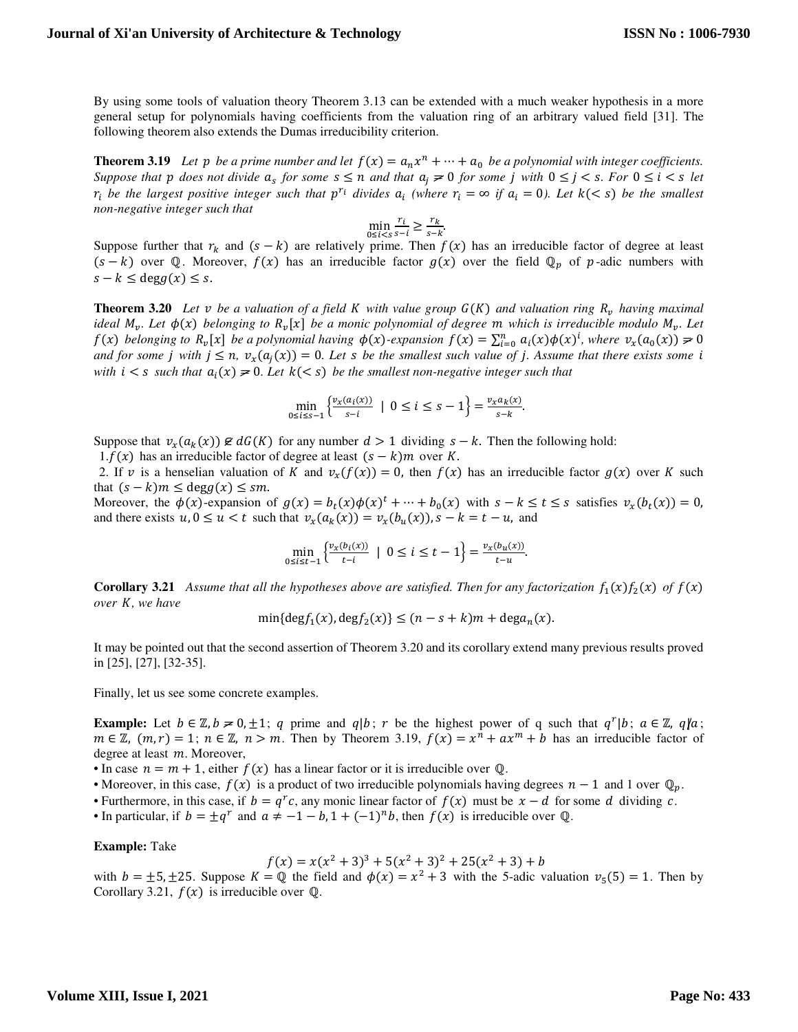By using some tools of valuation theory Theorem 3.13 can be extended with a much weaker hypothesis in a more general setup for polynomials having coefficients from the valuation ring of an arbitrary valued field [31]. The following theorem also extends the Dumas irreducibility criterion.

**Theorem 3.19** Let p be a prime number and let  $f(x) = a_n x^n + \cdots + a_0$  be a polynomial with integer coefficients. *Suppose that*  $p$  does not divide  $a_s$  for some  $s \leq n$  and that  $a_j \neq 0$  for some  $j$  with  $0 \leq j \leq s$ . For  $0 \leq i \leq s$  let  $r_i$  be the largest positive integer such that  $p^{r_i}$  divides  $a_i$  (where  $r_i = \infty$  if  $a_i = 0$ ). Let  $k \leq s$ ) be the smallest *non-negative integer such that* 

$$
\min_{0 \le i < s} \frac{r_i}{s - i} \ge \frac{r_k}{s - k}.
$$

Suppose further that  $r_k$  and  $(s - k)$  are relatively prime. Then  $f(x)$  has an irreducible factor of degree at least  $(s - k)$  over ℚ. Moreover,  $f(x)$  has an irreducible factor  $g(x)$  over the field ℚ; of p-adic numbers with  $s - k \leq \deg g(x) \leq s$ .

**Theorem 3.20** Let  $v$  be a valuation of a field  $K$  with value group  $G(K)$  and valuation ring  $R_v$  having maximal *ideal*  $M_v$ . Let  $\phi(x)$  belonging to  $R_v[x]$  be a monic polynomial of degree m which is irreducible modulo  $M_v$ . Let  $f(x)$  belonging to  $R_v[x]$  be a polynomial having  $\phi(x)$ -expansion  $f(x) = \sum_{i=0}^n a_i(x)\phi(x)^i$ , where  $v_x(a_0(x)) \ge 0$ *and for some j with*  $j \leq n$ *,*  $v_x(a_j(x)) = 0$ *. Let s be the smallest such value of j. Assume that there exists some i with*  $i < s$  *such that*  $a_i(x) \neq 0$ *. Let*  $k(< s)$  *be the smallest non-negative integer such that* 

$$
\min_{0 \le i \le s-1} \left\{ \frac{\nu_x(a_i(x))}{s-i} \mid 0 \le i \le s-1 \right\} = \frac{\nu_x a_k(x)}{s-k}.
$$

Suppose that  $v_x(a_k(x)) \not\in dG(K)$  for any number  $d > 1$  dividing  $s - k$ . Then the following hold:

1. $f(x)$  has an irreducible factor of degree at least  $(s - k)m$  over K.

2. If v is a henselian valuation of K and  $v_x(f(x)) = 0$ , then  $f(x)$  has an irreducible factor  $g(x)$  over K such that  $(s - k)m \leq deg g(x) \leq sm$ .

Moreover, the  $\phi(x)$ -expansion of  $g(x) = b_t(x)\phi(x)^t + \cdots + b_0(x)$  with  $s - k \le t \le s$  satisfies  $v_x(b_t(x)) = 0$ , and there exists  $u, 0 \le u < t$  such that  $v_x(a_k(x)) = v_x(b_u(x))$ ,  $s - k = t - u$ , and

$$
\min_{0\leq i\leq t-1}\left\{\frac{v_x(b_i(x))}{t-i}\ \mid\ 0\leq i\leq t-1\right\}=\frac{v_x(b_u(x))}{t-u}.
$$

**Corollary 3.21** Assume that all the hypotheses above are satisfied. Then for any factorization  $f_1(x)f_2(x)$  of  $f(x)$ *over , we have* 

$$
\min\{\deg f_1(x), \deg f_2(x)\} \le (n - s + k)m + \deg a_n(x).
$$

It may be pointed out that the second assertion of Theorem 3.20 and its corollary extend many previous results proved in [25], [27], [32-35].

Finally, let us see some concrete examples.

**Example:** Let  $b \in \mathbb{Z}, b \ge 0, \pm 1$ ; q prime and  $q|b$ ; r be the highest power of q such that  $q^r|b$ ;  $a \in \mathbb{Z}$ ,  $q|a$ ;  $m \in \mathbb{Z}$ ,  $(m, r) = 1$ ;  $n \in \mathbb{Z}$ ,  $n > m$ . Then by Theorem 3.19,  $f(x) = x^n + ax^m + b$  has an irreducible factor of degree at least  $m$ . Moreover,

• In case  $n = m + 1$ , either  $f(x)$  has a linear factor or it is irreducible over Q.

• Moreover, in this case,  $f(x)$  is a product of two irreducible polynomials having degrees  $n - 1$  and 1 over  $\mathbb{Q}_p$ .

• Furthermore, in this case, if  $b = q^r c$ , any monic linear factor of  $f(x)$  must be  $x - d$  for some d dividing c.

• In particular, if  $b = \pm q^r$  and  $a \neq -1 - b$ ,  $1 + (-1)^n b$ , then  $f(x)$  is irreducible over Q.

**Example:** Take

$$
f(x) = x(x^2 + 3)^3 + 5(x^2 + 3)^2 + 25(x^2 + 3) + b
$$

with  $b = \pm 5, \pm 25$ . Suppose  $K = \mathbb{Q}$  the field and  $\phi(x) = x^2 + 3$  with the 5-adic valuation  $v_5(5) = 1$ . Then by Corollary 3.21,  $f(x)$  is irreducible over  $\mathbb{Q}$ .